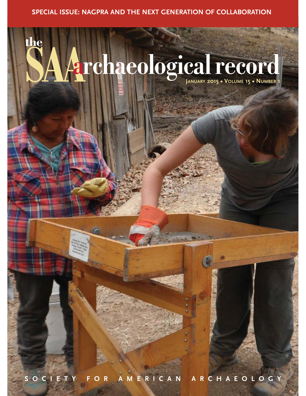# **SPECIAL ISSUE: NAGPRA AND THE NEXT GENERATION OF COLLABORATION**

# **SAAarchaeological record JANUARY 2015 • VOLUME 15 • NUMBER <sup>1</sup>**

**the**

**SOCIETY FOR AMERICAN ARCHAEOLOGY**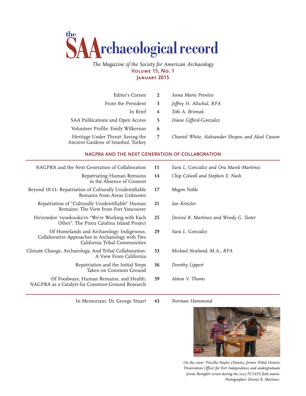

# *The Magazine of the Society for American Archaeology*  **Volume 15, No. 1 January 2015**

| Editor's Corner                                                          | 2            | Anna Marie Prentiss                                |
|--------------------------------------------------------------------------|--------------|----------------------------------------------------|
| From the President                                                       | 3            | Jeffrey H. Altschul, RPA                           |
| In Brief                                                                 | 4            | Tobi A. Brimsek                                    |
| SAA Publications and Open Access                                         | 5            | Diane Gifford-Gonzalez                             |
| Volunteer Profile: Emily Wilkerson                                       | $\mathbf{b}$ |                                                    |
| Heritage Under Threat: Saving the<br>Ancient Gardens of Istanbul, Turkey | 7            | Chantel White, Aleksandar Shopov, and Aksel Casson |

# **NAGPRA AND THE NEXT GENERATION OF COLLABORATION**

NAGPRA and the Next Generation of Collaboration Repatriating Human Remains in the Absence of Consent Beyond 10.11: Repatriation of Culturally Unidentifiable Remains from Areas Unknown Repatriation of "Culturally Unidentifiable" Human Remains: The View from Fort Vancouver Ho'eexokre 'eyookuuka'ro "We're Working with Each Other": The Pimu Catalina Island Project Of Homelands and Archaeology: Indigenous, Collaborative Approaches to Archaeology with Two California Tribal Communities

Climate Change, Archaeology, And Tribal Collaboration: A View From California

> Repatriation and the Initial Steps Taken on Common Ground

Of Foodways, Human Remains, and Health: NAGPRA as a Catalyst for Common-Ground Research

In Memoriam: Dr. George Stuart

- **11** *Sara L. Gonzalez and Ora Marek-Martinez*
- **14** *Chip Colwell and Stephen E. Nash*
- **17** *Megon Noble*
- **21** *Ian Kretzler*
- **25** *Desireé R. Martinez and Wendy G. Teeter*
- **29** *Sara L. Gonzalez*
- **33** *Michael Newland, M.A., RPA*
- **36** *Dorothy Lippert*
- **39** *Alston V. Thoms*

**43** *Norman Hammond*



*On the cover: Priscilla Naylor (Paiute), former Tribal Historic Preservation Officer for Fort Independence and undergraduate Jenna Rempfert screen during the 2013 PCIAFS field season. Photographer: Desireé R. Martinez.*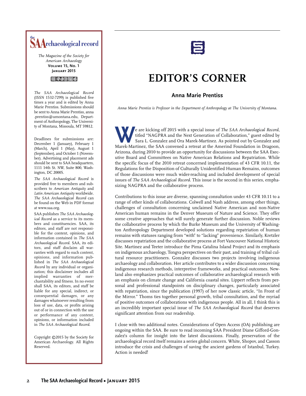

*The Magazine of the Society for American Archaeology*  **Volume 15, No. 1 January 2015**

### $@:002@6$

*The SAA Archaeological Record* (ISSN 1532-7299) is published five times a year and is edited by Anna Marie Prentiss. Submissions should be sent to Anna Marie Prentiss, anna .prentiss@umontana.edu, Department of Anthropology, The University of Montana, Missoula, MT 59812.

Deadlines for submissions are: December 1 (January), February 1 (March), April 1 (May), August 1 (September), and October 1 (November). Advertising and placement ads should be sent to SAA headquarters, 1111 14th St. NW, Suite 800, Washington, DC 20005.

*The SAA Archaeological Record* is provided free to members and subscribers to *American Antiquity* and *Latin American Antiquity* worldwide. *The SAA Archaeological Record* can be found on the Web in PDF format at www.saa.org.

SAA publishes *The SAA Archaeological Record* as a service to its members and constituencies. SAA, its editors, and staff are not responsible for the content, opinions, and information contained in *The SAA Archaeological Record*. SAA, its editors, and staff disclaim all warranties with regard to such content, opinions, and information published in *The SAA Archaeological Record* by any individual or organization; this disclaimer includes all implied warranties of merchantability and fitness. In no event shall SAA, its editors, and staff be liable for any special, indirect, or consequential damages, or any damages whatsoever resulting from loss of use, data, or profits arising out of or in connection with the use or performance of any content, opinions, or information included in *The SAA Archaeological Record*.

Copyright ©2015 by the Society for American Archaeology. All Rights Reserved.

# **EDITOR'S CORNER**

# **Anna Marie Prentiss**

*Anna Marie Prentiss is Professor in the Department of Anthropology at The University of Montana.*

**W**e are kicking off 2015 with a special issue of *The SAA Archaeological Record*, titled "NAGPRA and the Next Generation of Collaboration," guest edited by Sara L. Gonzalez and Ora Marek-Martinez. As pointed out by Gonzalez and Marek-Martinez, the SAA convened a retreat at the Amerind Foundation in Dragoon, Arizona, during 2010 to provide an opportunity for discussions between the SAA Executive Board and Committees on Native American Relations and Repatriation. While the specific focus of the 2010 retreat concerned implementation of 43 CFR 10.11, the Regulations for the Disposition of Culturally Unidentified Human Remains, outcomes of those discussions were much wider-reaching and included development of special issues of *The SAA Archaeological Record*. This issue is the second in this series, emphasizing NAGPRA and the collaborative process.

Contributions to this issue are diverse, spanning consultation under 43 CFR 10.11 to a range of other kinds of collaborations. Colwell and Nash address, among other things, challenges of consultation concerning unclaimed Native American and non-Native American human remains in the Denver Museum of Nature and Science. They offer some creative approaches that will surely generate further discussion. Noble reviews the collaborative process by which the Burke Museum and the University of Washington Anthropology Department developed solutions regarding repatriation of human remains with statuses ranging from "with" to "lacking" provenience. Similarly, Kretzler discusses repatriation and the collaborative process at Fort Vancouver National Historic Site. Martinez and Teeter introduce the Pima Catalina Island Project and its emphasis on indigenous archaeology, Tongva perspectives on their past, and training of tribal cultural resource practitioners. Gonzalez discusses two projects involving indigenous archaeology and collaboration. Her article contributes to a wider discussion concerning indigenous research methods, interpretive frameworks, and practical outcomes. Newland also emphasizes practical outcomes of collaborative archaeological research with an emphasis on climate change and California coastal sites. Lippert reflects from personal and professional standpoints on disciplinary changes, particularly associated with repatriation, since the publication (1997) of her now classic article, "In Front of the Mirror." Thoms ties together personal growth, tribal consultation, and the myriad of positive outcomes of collaborations with indigenous people. All in all, I think this is an incredibly important special issue of *The SAA Archaeological Record* that deserves significant attention from our readership.

I close with two additional notes. Considerations of Open Access (OA) publishing are ongoing within the SAA. Be sure to read incoming SAA President Diane Gifford-Gonzalez's column for insight into the latest discussions. Finally, preservation of the archaeological record itself remains a series global concern. White, Shopov, and Casson introduce the crisis and challenges of saving the ancient gardens of Istanbul, Turkey. Action is needed!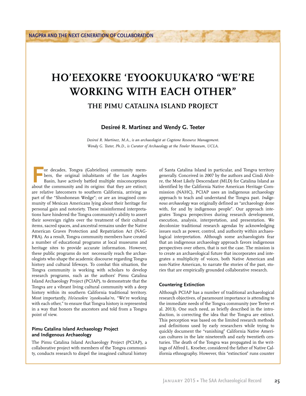# **HO'EEXOKRE 'EYOOKUUKA'RO "WE'RE WORKING WITH EACH OTHER"**

**THE PIMU CATALINA ISLAND PROJECT**

**Desireé R. Martinez and Wendy G. Teeter**

*Desireé R. Martinez, M.A., is an archaeologist at Cogstone Resource Management. Wendy G. Teeter, Ph.D., is Curator of Archaeology at the Fowler Museum, UCLA.*

or decades, Tongva (Gabrielino) community members, the original inhabitants of the Los Angeles Basin, have actively battled multiple misconceptions about the community and its origins: that they are extinct: bers, the original inhabitants of the Los Angeles Basin, have actively battled multiple misconceptions about the community and its origins: that they are extinct; are relative latecomers to southern California, arriving as part of the "Shoshonean Wedge"; or are an imagined community of Mexican Americans lying about their heritage for personal gain and notoriety. These misinformed interpretations have hindered the Tongva community's ability to assert their sovereign rights over the treatment of their cultural items, sacred spaces, and ancestral remains under the Native American Graves Protection and Repatriation Act (NAG-PRA). As a result, Tongva community members have created a number of educational programs at local museums and heritage sites to provide accurate information. However, these public programs do not necessarily reach the archaeologists who shape the academic discourse regarding Tongva history and cultural lifeways. To combat this situation, the Tongva community is working with scholars to develop research programs, such as the authors' Pimu Catalina Island Archaeology Project (PCIAP), to demonstrate that the Tongva are a vibrant living cultural community with a deep history within its southern California traditional territory. Most importantly, *Ho'eexokre 'eyookuuka'ro,* "We're working with each other," to ensure that Tongva history is represented in a way that honors the ancestors and told from a Tongva point of view.

# **Pimu Catalina Island Archaeology Project and Indigenous Archaeology**

The Pimu Catalina Island Archaeology Project (PCIAP), a collaborative project with members of the Tongva community, conducts research to dispel the imagined cultural history of Santa Catalina Island in particular, and Tongva territory generally. Conceived in 2007 by the authors and Cindi Alvitre, the Most Likely Descendant (MLD) for Catalina Island as identified by the California Native American Heritage Commission (NAHC), PCIAP uses an indigenous archaeology approach to teach and understand the Tongva past. *Indigenous archaeology* was originally defined as "archaeology done with, for and by indigenous people". Our approach integrates Tongva perspectives during research development, execution, analysis, interpretation, and presentation. We decolonize traditional research agendas by acknowledging issues such as power, control, and authority within archaeological interpretation. Although some archaeologists fear that an indigenous archaeology approach favors indigenous perspectives over others, that is not the case. The mission is to create an archaeological future that incorporates and integrates a multiplicity of voices, both Native American and non-Native American, to narrate the stories of the past, stories that are empirically grounded collaborative research.

## **Countering Extinction**

Although PCIAP has a number of traditional archaeological research objectives, of paramount importance is attending to the immediate needs of the Tongva community (see Teeter et al. 2013). One such need, as briefly described in the introduction, is correcting the idea that the Tongva are extinct. This perception was based on the limited research methods and definitions used by early researchers while trying to quickly document the "vanishing" California Native American cultures in the late nineteenth and early twentieth centuries. The death of the Tongva was propagated in the writings of Alfred L. Kroeber, considered the father of Native California ethnography. However, this "extinction" runs counter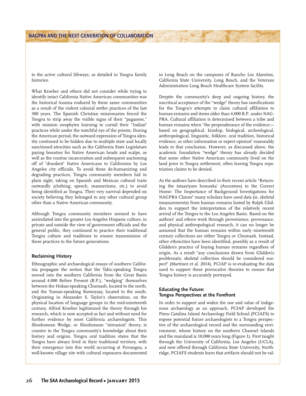to the active cultural lifeways, as detailed in Tongva family histories.

What Kroeber and others did not consider while trying to identify intact California Native American communities was the historical trauma endured by these same communities as a result of the violent colonial settler practices of the last 300 years. The Spanish Christian missionaries forced the Tongva to strip away the visible signs of their "paganess," with mission neophytes learning to curtail their "Indian" practices while under the watchful eye of the priests. During the American period, the outward expression of Tongva identity continued to be hidden due to multiple state and locally sanctioned atrocities such as the California State Legislature paying bounties for Native American heads and scalps, as well as the routine incarceration and subsequent auctioning off of "drunken" Native Americans to Californios by Los Angeles city officials. To avoid these de-humanizing and degrading practices, Tongva community members hid in plain sight, taking on Spanish and Mexican cultural traits outwardly (clothing, speech, mannerisms, etc.) to avoid being identified as Tongva. Their very survival depended on society believing they belonged to any other cultural group other than a Native American community.

Although Tongva community members seemed to have assimilated into the greater Los Angeles Hispanic culture, in private and outside the view of government officials and the general public, they continued to practice their traditional Tongva culture and traditions to ensure transmission of these practices to the future generations.

# **Reclaiming History**

Ethnographic and archaeological essays of southern California propagate the notion that the Takic-speaking Tongva moved into the southern California from the Great Basin around 4,000 Before Present (B.P.), "wedging" themselves between the Hokan-speaking Chumash, located to the north, and the Yuman-speaking Kumeyaay, located to the south. Originating in Alexander S. Taylor's observation, on the physical location of language groups in the mid-nineteenth century, Alfred Kroeber legitimized the theory through his research, which is now accepted as fact and without need for further evidence by most California archaeologists. This Shoshonean Wedge, or Shoshonean "intrusion" theory, is counter to the Tongva community's knowledge about their history and origins. Tongva oral tradition states that the Tongva have always lived in their traditional territory, with their emergence into this world occurring at Puvungna, a well-known village site with cultural exposures documented in Long Beach on the campuses of Rancho Los Alamitos, California State University, Long Beach, and the Veterans Administration Long Beach Healthcare System facility.

Despite the community's deep and ongoing history, the uncritical acceptance of the "wedge" theory has ramifications for the Tongva's attempts to claim cultural affiliation to human remains and items older than 4,000 B.P. under NAG-PRA. Cultural affiliation is determined between a tribe and human remains when "the preponderance of the evidence based on geographical, kinship, biological, archeological, anthropological, linguistic, folklore, oral tradition, historical evidence, or other information or expert opinion" reasonably leads to that conclusion. However, as discussed above, the academic foundation "wedge" theory has already decided that some other Native American community lived on the land prior to Tongva settlement, often leaving Tongva repatriation claims to be denied.

As the authors have described in their recent article "Returning the tataayiyam honuuka' (Ancestors) to the Correct Home: The Importance of Background Investigations for NAGPRA Claims" many scholars have used data (ie, skeletal measurements) from human remains looted by Ralph Glidden to support the interpretation of the relatively recent arrival of the Tongva to the Los Angeles Basin. Based on the authors' and others work through provenience, provenance, and physical anthropological research, it can no longer be assumed that the human remains within early nineteenth century collections are either Tongva or Chumash. Instead, other ethnicities have been identified, possibly as a result of Glidden's practice of buying human remains regardless of origin. As a result "any conclusions drawn from Glidden's problematic skeletal collection should be considered suspect" (Martinez et al. 2014). PCIAP is re-evaluating the data used to support these provocative theories to ensure that Tongva history is accurately portrayed.

# **Educating the Future: Tongva Perspectives at the Forefront**

In order to support and widen the use and value of indigenous archaeology as an approach, PCIAP developed the Pimu Catalina Island Archaeology Field School (PCIAFS) to expose potential future archaeologists to a Tongva perspective of the archaeological record and the surrounding environment, whose history on the southern Channel Islands and the mainland is 10,000 years long (Figure 1). First taught through the University of California, Los Angeles (UCLA), and now offered through California State University, Northridge, PCIAFS students learn that artifacts should not be val-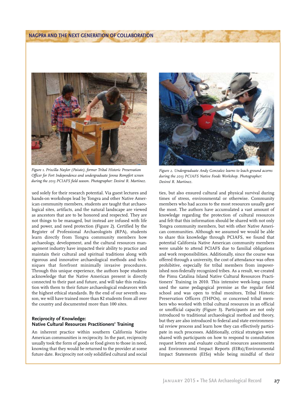

*Figure 1. Priscilla Naylor (Paiute), former Tribal Historic Preservation Officer for Fort Independence and undergraduate Jenna Rempfert screen during the 2013 PCIAFS field season. Photographer: Desireé R. Martinez.*

ued solely for their research potential. Via guest lectures and hands-on workshops lead by Tongva and other Native American community members, students are taught that archaeological sites, artifacts, and the natural landscape are viewed as ancestors that are to be honored and respected. They are not things to be managed, but instead are infused with life and power, and need protection (Figure 2). Certified by the Register of Professional Archaeologists (RPA), students learn directly from Tongva community members how archaeology, development, and the cultural resources management industry have impacted their ability to practice and maintain their cultural and spiritual traditions along with rigorous and innovative archaeological methods and techniques that forefront minimally invasive procedures. Through this unique experience, the authors hope students acknowledge that the Native American present is directly connected to their past and future, and will take this realization with them to their future archaeological endeavors with the highest ethical standards. By the end of our seventh season, we will have trained more than 82 students from all over the country and documented more than 100 sites.

# **Reciprocity of Knowledge: Native Cultural Resources Practitioners' Training**

An inherent practice within southern California Native American communities is reciprocity. In the past, reciprocity usually took the form of goods or food given to those in need, knowing that they would be returned to the provider at some future date. Reciprocity not only solidified cultural and social



*Figure 2. Undergraduate Andy Gonzalez learns to leach ground acorns during the 2013 PCIAFS Native Foods Workshop. Photographer: Desireé R. Martinez.*

ties, but also ensured cultural and physical survival during times of stress, environmental or otherwise. Community members who had access to the most resources usually gave the most. The authors have accumulated a vast amount of knowledge regarding the protection of cultural resources and felt that this information should be shared with not only Tongva community members, but with other Native American communities. Although we assumed we would be able to share this knowledge through PCIAFS, we found that potential California Native American community members were unable to attend PCIAFS due to familial obligations and work responsibilities. Additionally, since the course was offered through a university, the cost of attendance was often prohibitive, especially for tribal members from impoverished non-federally recognized tribes. As a result, we created the Pimu Catalina Island Native Cultural Resources Practitioners' Training in 2010. This intensive week-long course used the same pedagogical premise as the regular field school and was open to tribal monitors, Tribal Historic Preservation Officers (THPOs), or concerned tribal members who worked with tribal cultural resources in an official or unofficial capacity (Figure 3). Participants are not only introduced to traditional archaeological method and theory, but they are also introduced to federal and state environmental review process and learn how they can effectively participate in such processes. Additionally, critical strategies were shared with participants on how to respond to consultation request letters and evaluate cultural resources assessments and Environmental Impact Reports (EIRs)/Environmental Impact Statements (EISs) while being mindful of their